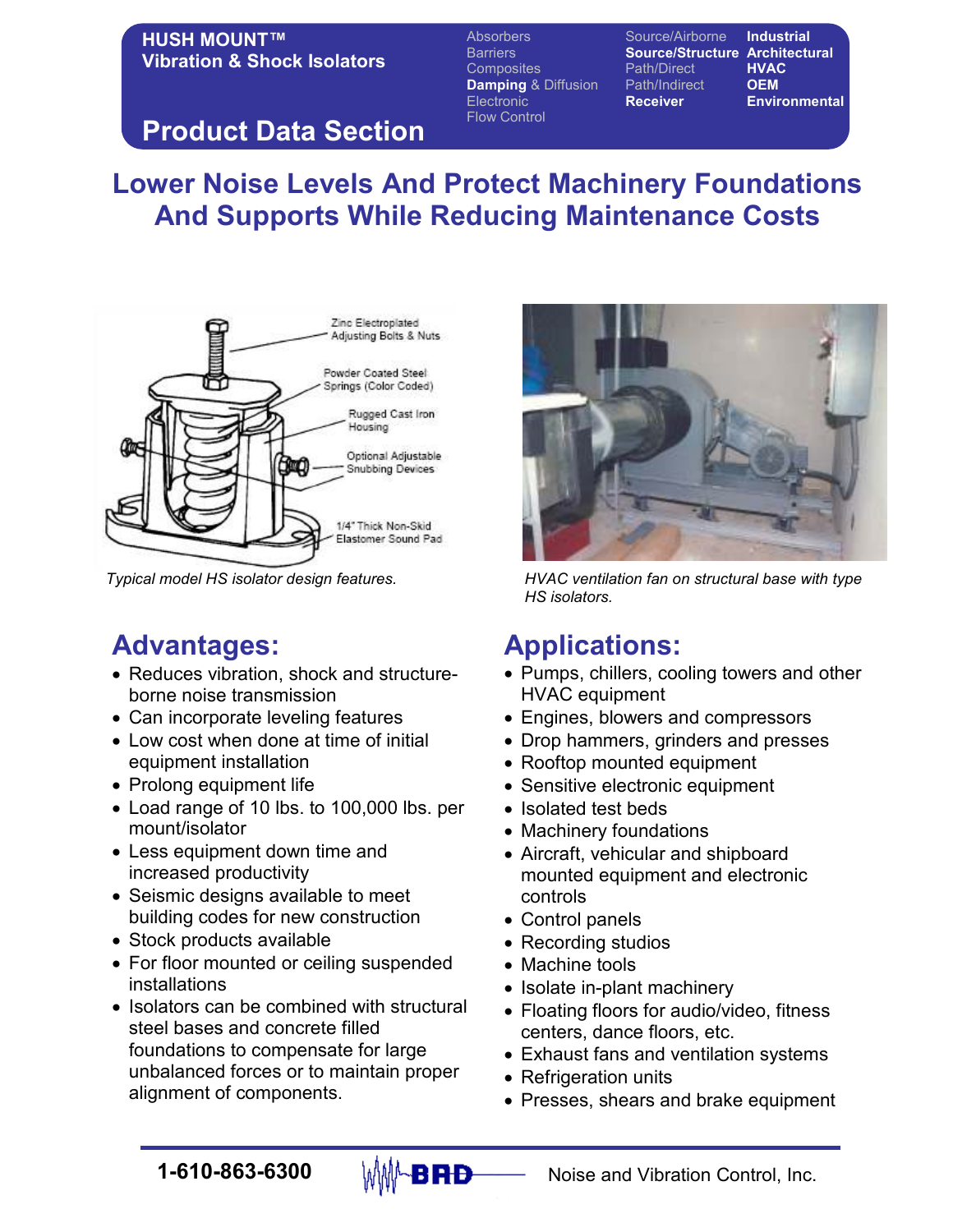#### HUSH MOUNT™ Vibration & Shock Isolators

Absorbers Source/Airborne Industrial Barriers **Source/Structure Architectural**<br>Composites **Source/Structure HVAC** Composites Path/Direct Damping & Diffusion Path/Indirect OEM Electronic Receiver Environmental Flow Control

# Product Data Section

# Lower Noise Levels And Protect Machinery Foundations And Supports While Reducing Maintenance Costs



# Advantages:

- Reduces vibration, shock and structureborne noise transmission
- Can incorporate leveling features
- Low cost when done at time of initial equipment installation
- Prolong equipment life
- Load range of 10 lbs. to 100,000 lbs. per mount/isolator
- Less equipment down time and increased productivity
- Seismic designs available to meet building codes for new construction
- Stock products available
- For floor mounted or ceiling suspended installations
- Isolators can be combined with structural steel bases and concrete filled foundations to compensate for large unbalanced forces or to maintain proper alignment of components.



Typical model HS isolator design features. HVAC ventilation fan on structural base with type HS isolators.

# Applications:

- Pumps, chillers, cooling towers and other HVAC equipment
- Engines, blowers and compressors
- Drop hammers, grinders and presses
- Rooftop mounted equipment
- Sensitive electronic equipment
- Isolated test beds
- Machinery foundations
- Aircraft, vehicular and shipboard mounted equipment and electronic controls
- Control panels
- Recording studios
- Machine tools
- Isolate in-plant machinery
- Floating floors for audio/video, fitness centers, dance floors, etc.
- Exhaust fans and ventilation systems
- Refrigeration units
- Presses, shears and brake equipment

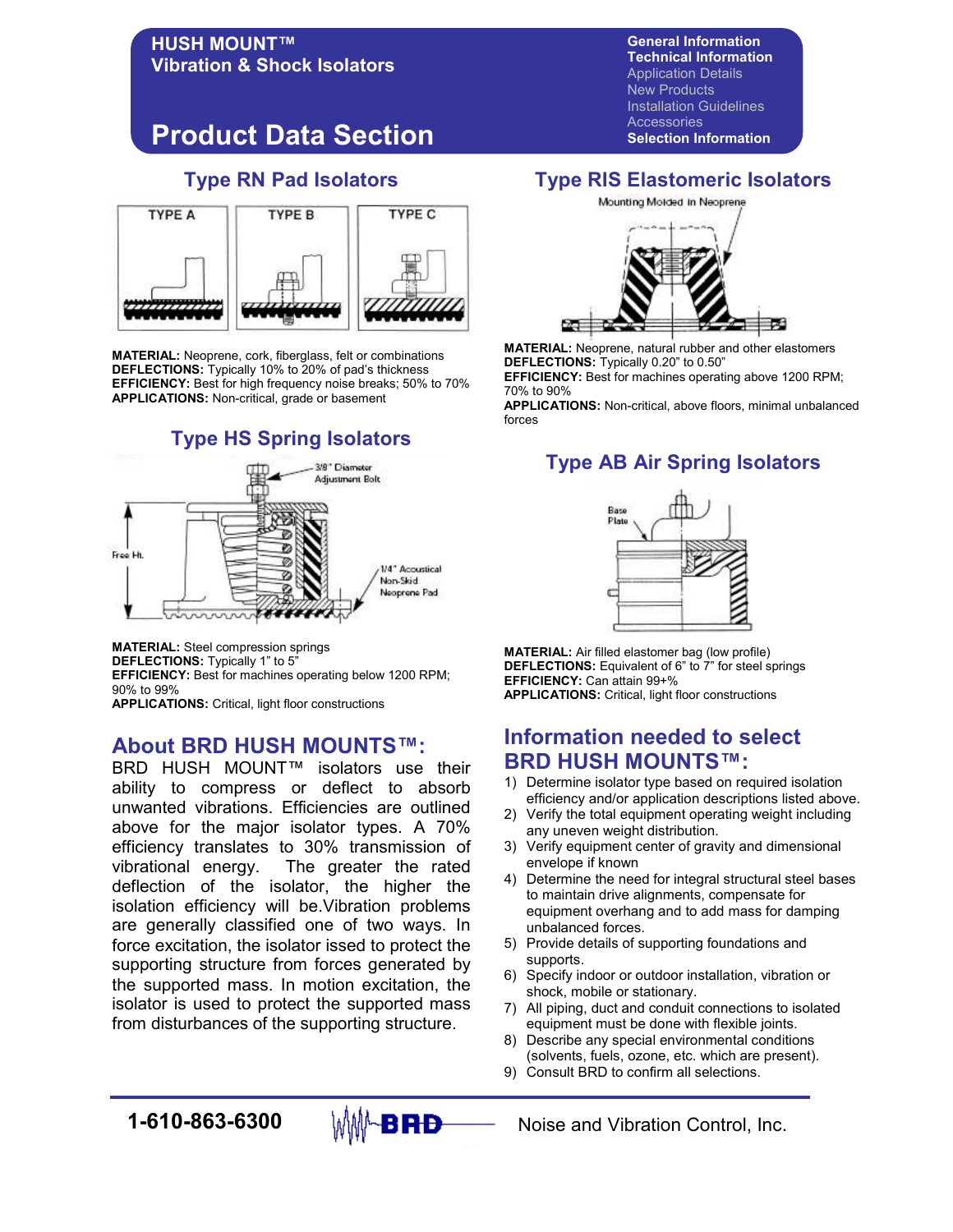# Product Data Section

Vibration & Shock Isolators

HUSH MOUNT™

#### Type RN Pad Isolators



MATERIAL: Neoprene, cork, fiberglass, felt or combinations DEFLECTIONS: Typically 10% to 20% of pad's thickness EFFICIENCY: Best for high frequency noise breaks; 50% to 70% APPLICATIONS: Non-critical, grade or basement

#### Type HS Spring Isolators



MATERIAL: Steel compression springs DEFLECTIONS: Typically 1" to 5" EFFICIENCY: Best for machines operating below 1200 RPM; 90% to 99% APPLICATIONS: Critical, light floor constructions

#### About BRD HUSH MOUNTS™:

BRD HUSH MOUNT™ isolators use their ability to compress or deflect to absorb unwanted vibrations. Efficiencies are outlined above for the major isolator types. A 70% efficiency translates to 30% transmission of vibrational energy. The greater the rated deflection of the isolator, the higher the isolation efficiency will be.Vibration problems are generally classified one of two ways. In force excitation, the isolator issed to protect the supporting structure from forces generated by the supported mass. In motion excitation, the isolator is used to protect the supported mass from disturbances of the supporting structure.

Technical Information Application Details New Products Installation Guidelines **Accessories** Selection Information

General Information

#### Type RIS Elastomeric Isolators



MATERIAL: Neoprene, natural rubber and other elastomers DEFLECTIONS: Typically 0.20" to 0.50"

EFFICIENCY: Best for machines operating above 1200 RPM; 70% to 90%

APPLICATIONS: Non-critical, above floors, minimal unbalanced forces

### Type AB Air Spring Isolators



MATERIAL: Air filled elastomer bag (low profile) DEFLECTIONS: Equivalent of 6" to 7" for steel springs EFFICIENCY: Can attain 99+% APPLICATIONS: Critical, light floor constructions

#### Information needed to select BRD HUSH MOUNTS™:

- 1) Determine isolator type based on required isolation efficiency and/or application descriptions listed above.
- 2) Verify the total equipment operating weight including any uneven weight distribution.
- 3) Verify equipment center of gravity and dimensional envelope if known
- 4) Determine the need for integral structural steel bases to maintain drive alignments, compensate for equipment overhang and to add mass for damping unbalanced forces.
- 5) Provide details of supporting foundations and supports.
- 6) Specify indoor or outdoor installation, vibration or shock, mobile or stationary.
- 7) All piping, duct and conduit connections to isolated equipment must be done with flexible joints.
- 8) Describe any special environmental conditions (solvents, fuels, ozone, etc. which are present).
- 9) Consult BRD to confirm all selections.



**1-610-863-6300**  $\mathbb{M}$  $\mathbb{M}$  $\rightarrow$  **RD** Noise and Vibration Control, Inc.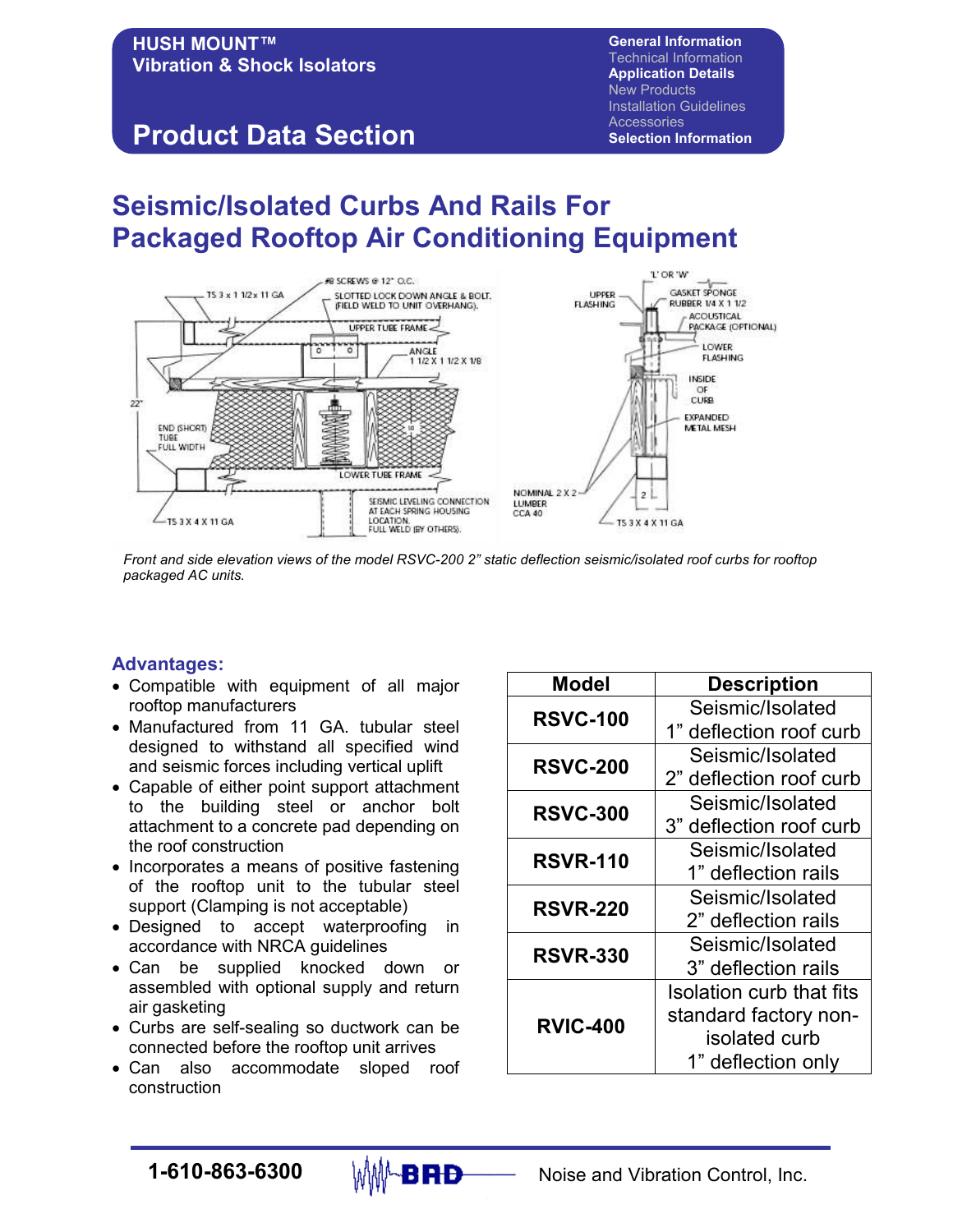#### HUSH MOUNT™ Vibration & Shock Isolators Product Data Section General Information Technical Information Application Details New Products Installation Guidelines Accessories Selection Information

# Seismic/Isolated Curbs And Rails For Packaged Rooftop Air Conditioning Equipment



Front and side elevation views of the model RSVC-200 2" static deflection seismic/isolated roof curbs for rooftop packaged AC units.

#### Advantages:

- Compatible with equipment of all major rooftop manufacturers
- Manufactured from 11 GA. tubular steel designed to withstand all specified wind and seismic forces including vertical uplift
- Capable of either point support attachment to the building steel or anchor bolt attachment to a concrete pad depending on the roof construction
- Incorporates a means of positive fastening of the rooftop unit to the tubular steel support (Clamping is not acceptable)
- Designed to accept waterproofing in accordance with NRCA guidelines
- Can be supplied knocked down or assembled with optional supply and return air gasketing
- Curbs are self-sealing so ductwork can be connected before the rooftop unit arrives
- Can also accommodate sloped roof construction

| Model           | <b>Description</b>       |
|-----------------|--------------------------|
| <b>RSVC-100</b> | Seismic/Isolated         |
|                 | 1" deflection roof curb  |
| <b>RSVC-200</b> | Seismic/Isolated         |
|                 | 2" deflection roof curb  |
| <b>RSVC-300</b> | Seismic/Isolated         |
|                 | 3" deflection roof curb  |
| <b>RSVR-110</b> | Seismic/Isolated         |
|                 | 1" deflection rails      |
| <b>RSVR-220</b> | Seismic/Isolated         |
|                 | 2" deflection rails      |
| <b>RSVR-330</b> | Seismic/Isolated         |
|                 | 3" deflection rails      |
| <b>RVIC-400</b> | Isolation curb that fits |
|                 | standard factory non-    |
|                 | isolated curb            |
|                 | 1" deflection only       |